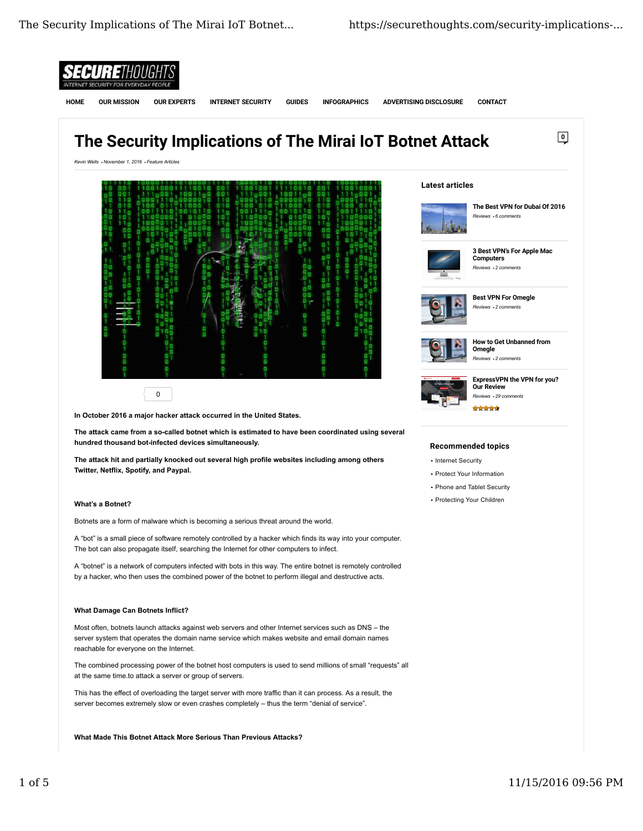

**What Made This Botnet Attack More Serious Than Previous Attacks?**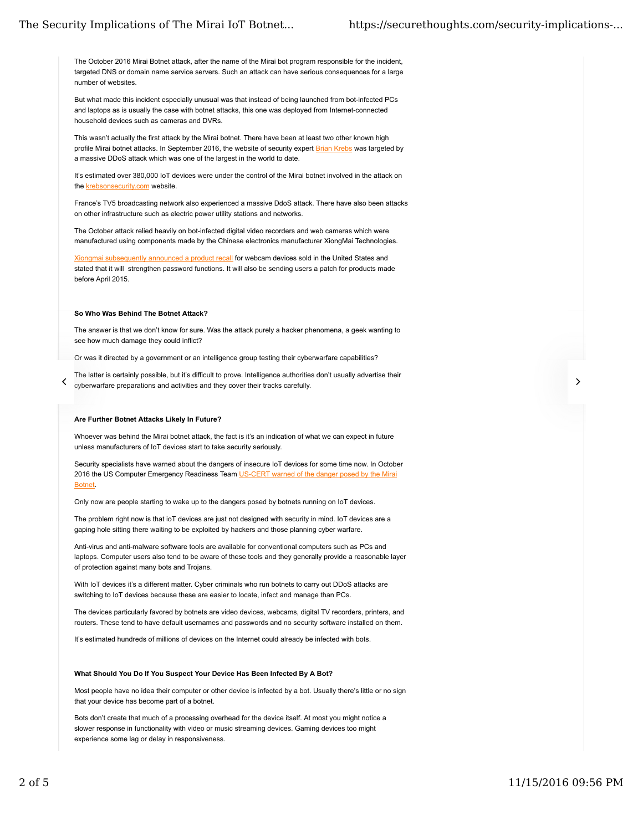The October 2016 Mirai Botnet attack, after the name of the Mirai bot program responsible for the incident, targeted DNS or domain name service servers. Such an attack can have serious consequences for a large number of websites.

But what made this incident especially unusual was that instead of being launched from bot-infected PCs and laptops as is usually the case with botnet attacks, this one was deployed from Internet-connected household devices such as cameras and DVRs.

This wasn't actually the first attack by the Mirai botnet. There have been at least two other known high profile Mirai botnet attacks. In September 2016, the website of security expert Brian Krebs was targeted by a massive DDoS attack which was one of the largest in the world to date.

It's estimated over 380,000 IoT devices were under the control of the Mirai botnet involved in the attack on the krebsonsecurity.com website.

France's TV5 broadcasting network also experienced a massive DdoS attack. There have also been attacks on other infrastructure such as electric power utility stations and networks.

The October attack relied heavily on bot-infected digital video recorders and web cameras which were manufactured using components made by the Chinese electronics manufacturer XiongMai Technologies.

Xiongmai subsequently announced a product recall for webcam devices sold in the United States and stated that it will strengthen password functions. It will also be sending users a patch for products made before April 2015.

#### **So Who Was Behind The Botnet Attack?**

The answer is that we don't know for sure. Was the attack purely a hacker phenomena, a geek wanting to see how much damage they could inflict?

Or was it directed by a government or an intelligence group testing their cyberwarfare capabilities?

The latter is certainly possible, but it's difficult to prove. Intelligence authorities don't usually advertise their cyberwarfare preparations and activities and they cover their tracks carefully.

#### **Are Further Botnet Attacks Likely In Future?**

Whoever was behind the Mirai botnet attack, the fact is it's an indication of what we can expect in future unless manufacturers of IoT devices start to take security seriously.

Security specialists have warned about the dangers of insecure IoT devices for some time now. In October 2016 the US Computer Emergency Readiness Team US-CERT warned of the danger posed by the Mirai Botnet.

Only now are people starting to wake up to the dangers posed by botnets running on IoT devices.

The problem right now is that ioT devices are just not designed with security in mind. IoT devices are a gaping hole sitting there waiting to be exploited by hackers and those planning cyber warfare.

Anti-virus and anti-malware software tools are available for conventional computers such as PCs and laptops. Computer users also tend to be aware of these tools and they generally provide a reasonable layer of protection against many bots and Trojans.

With IoT devices it's a different matter. Cyber criminals who run botnets to carry out DDoS attacks are switching to IoT devices because these are easier to locate, infect and manage than PCs.

The devices particularly favored by botnets are video devices, webcams, digital TV recorders, printers, and routers. These tend to have default usernames and passwords and no security software installed on them.

It's estimated hundreds of millions of devices on the Internet could already be infected with bots.

### **What Should You Do If You Suspect Your Device Has Been Infected By A Bot?**

Most people have no idea their computer or other device is infected by a bot. Usually there's little or no sign that your device has become part of a botnet.

Bots don't create that much of a processing overhead for the device itself. At most you might notice a slower response in functionality with video or music streaming devices. Gaming devices too might experience some lag or delay in responsiveness.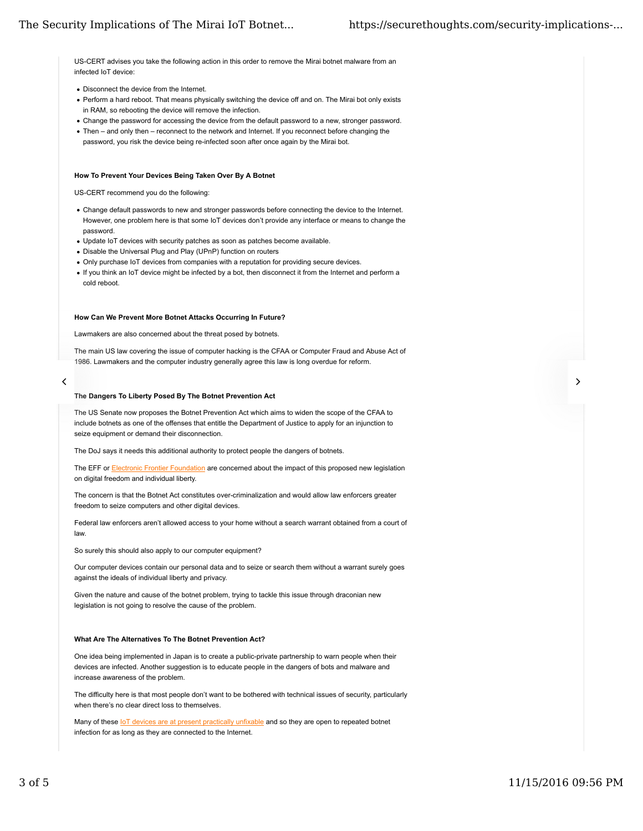US-CERT advises you take the following action in this order to remove the Mirai botnet malware from an infected IoT device:

- Disconnect the device from the Internet.
- Perform a hard reboot. That means physically switching the device off and on. The Mirai bot only exists in RAM, so rebooting the device will remove the infection.
- Change the password for accessing the device from the default password to a new, stronger password.
- Then and only then reconnect to the network and Internet. If you reconnect before changing the password, you risk the device being re-infected soon after once again by the Mirai bot.

#### **How To Prevent Your Devices Being Taken Over By A Botnet**

US-CERT recommend you do the following:

- Change default passwords to new and stronger passwords before connecting the device to the Internet. However, one problem here is that some IoT devices don't provide any interface or means to change the password.
- Update IoT devices with security patches as soon as patches become available.
- Disable the Universal Plug and Play (UPnP) function on routers
- Only purchase IoT devices from companies with a reputation for providing secure devices.
- If you think an IoT device might be infected by a bot, then disconnect it from the Internet and perform a cold reboot.

#### **How Can We Prevent More Botnet Attacks Occurring In Future?**

Lawmakers are also concerned about the threat posed by botnets.

The main US law covering the issue of computer hacking is the CFAA or Computer Fraud and Abuse Act of 1986. Lawmakers and the computer industry generally agree this law is long overdue for reform.

# 

#### **The Dangers To Liberty Posed By The Botnet Prevention Act**

The US Senate now proposes the Botnet Prevention Act which aims to widen the scope of the CFAA to include botnets as one of the offenses that entitle the Department of Justice to apply for an injunction to seize equipment or demand their disconnection.

The DoJ says it needs this additional authority to protect people the dangers of botnets.

The EFF or Electronic Frontier Foundation are concerned about the impact of this proposed new legislation on digital freedom and individual liberty.

The concern is that the Botnet Act constitutes over-criminalization and would allow law enforcers greater freedom to seize computers and other digital devices.

Federal law enforcers aren't allowed access to your home without a search warrant obtained from a court of law.

So surely this should also apply to our computer equipment?

Our computer devices contain our personal data and to seize or search them without a warrant surely goes against the ideals of individual liberty and privacy.

Given the nature and cause of the botnet problem, trying to tackle this issue through draconian new legislation is not going to resolve the cause of the problem.

#### **What Are The Alternatives To The Botnet Prevention Act?**

One idea being implemented in Japan is to create a public-private partnership to warn people when their devices are infected. Another suggestion is to educate people in the dangers of bots and malware and increase awareness of the problem.

The difficulty here is that most people don't want to be bothered with technical issues of security, particularly when there's no clear direct loss to themselves.

Many of these IoT devices are at present practically unfixable and so they are open to repeated botnet infection for as long as they are connected to the Internet.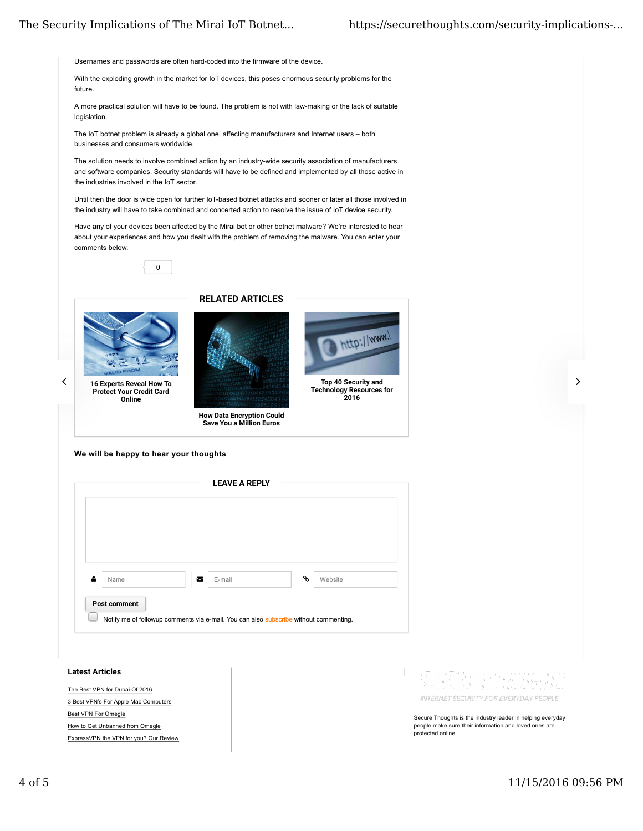Usernames and passwords are often hard-coded into the firmware of the device.

With the exploding growth in the market for IoT devices, this poses enormous security problems for the future.

A more practical solution will have to be found. The problem is not with law-making or the lack of suitable legislation.

The IoT botnet problem is already a global one, affecting manufacturers and Internet users – both businesses and consumers worldwide.

The solution needs to involve combined action by an industry-wide security association of manufacturers and software companies. Security standards will have to be defined and implemented by all those active in the industries involved in the IoT sector.

Until then the door is wide open for further IoT-based botnet attacks and sooner or later all those involved in the industry will have to take combined and concerted action to resolve the issue of IoT device security.

Have any of your devices been affected by the Mirai bot or other botnet malware? We're interested to hear about your experiences and how you dealt with the problem of removing the malware. You can enter your comments below.





Protect Your Credit Card Online





Top 40 Security and Technology Resources for 2016

http://www.l

How Data Encryption Could Save You a Million Euros

**We will be happy to hear your thoughts**



The Best VPN for Dubai Of 2016 3 Best VPN's For Apple Mac Computers Best VPN For Omegle How to Get Unbanned from Omegle ExpressVPN the VPN for you? Our Review



Secure Thoughts is the industry leader in helping everyday people make sure their information and loved ones are protected online.